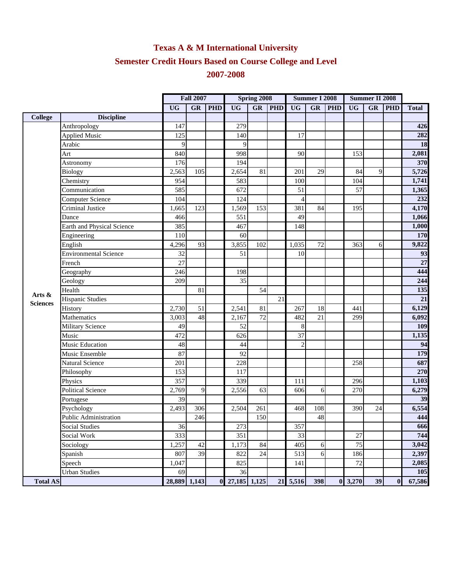## **Texas A & M International University Semester Credit Hours Based on Course College and Level 2007-2008**

|                 |                              | <b>Fall 2007</b> |           | Spring 2008 |              |                        | <b>Summer I 2008</b> |                |                  | <b>Summer II 2008</b> |                 |             |            |              |
|-----------------|------------------------------|------------------|-----------|-------------|--------------|------------------------|----------------------|----------------|------------------|-----------------------|-----------------|-------------|------------|--------------|
|                 |                              | <b>UG</b>        | <b>GR</b> | <b>PHD</b>  | <b>UG</b>    | $\overline{\text{GR}}$ | <b>PHD</b>           | <b>UG</b>      | <b>GR</b>        | <b>PHD</b>            | <b>UG</b>       | GR          | <b>PHD</b> | <b>Total</b> |
| <b>College</b>  | <b>Discipline</b>            |                  |           |             |              |                        |                      |                |                  |                       |                 |             |            |              |
|                 | Anthropology                 | 147              |           |             | 279          |                        |                      |                |                  |                       |                 |             |            | 426          |
|                 | <b>Applied Music</b>         | 125              |           |             | 140          |                        |                      | 17             |                  |                       |                 |             |            | 282          |
|                 | Arabic                       | 9                |           |             | 9            |                        |                      |                |                  |                       |                 |             |            | 18           |
|                 | Art                          | 840              |           |             | 998          |                        |                      | 90             |                  |                       | 153             |             |            | 2,081        |
|                 | Astronomy                    | 176              |           |             | 194          |                        |                      |                |                  |                       |                 |             |            | 370          |
|                 | <b>Biology</b>               | 2,563            | 105       |             | 2,654        | 81                     |                      | 201            | 29               |                       | 84              | $\mathbf Q$ |            | 5,726        |
|                 | Chemistry                    | 954              |           |             | 583          |                        |                      | 100            |                  |                       | 104             |             |            | 1,741        |
|                 | Communication                | 585              |           |             | 672          |                        |                      | 51             |                  |                       | 57              |             |            | 1,365        |
|                 | <b>Computer Science</b>      | 104              |           |             | 124          |                        |                      | $\overline{4}$ |                  |                       |                 |             |            | 232          |
|                 | Criminal Justice             | 1,665            | 123       |             | 1,569        | 153                    |                      | 381            | 84               |                       | 195             |             |            | 4,170        |
|                 | Dance                        | 466              |           |             | 551          |                        |                      | 49             |                  |                       |                 |             |            | 1,066        |
|                 | Earth and Physical Science   | 385              |           |             | 467          |                        |                      | 148            |                  |                       |                 |             |            | 1,000        |
|                 | Engineering                  | 110              |           |             | 60           |                        |                      |                |                  |                       |                 |             |            | 170          |
|                 | English                      | 4,296            | 93        |             | 3,855        | 102                    |                      | 1,035          | 72               |                       | 363             | 6           |            | 9,822        |
|                 | Environmental Science        | 32               |           |             | 51           |                        |                      | 10             |                  |                       |                 |             |            | 93           |
|                 | French                       | 27               |           |             |              |                        |                      |                |                  |                       |                 |             |            | 27           |
|                 | Geography                    | 246              |           |             | 198          |                        |                      |                |                  |                       |                 |             |            | 444          |
|                 | Geology                      | 209              |           |             | 35           |                        |                      |                |                  |                       |                 |             |            | 244          |
| Arts &          | Health                       |                  | 81        |             |              | 54                     |                      |                |                  |                       |                 |             |            | 135          |
| <b>Sciences</b> | Hispanic Studies             |                  |           |             |              |                        | 21                   |                |                  |                       |                 |             |            | 21           |
|                 | History                      | 2,730            | 51        |             | 2,541        | 81                     |                      | 267            | 18               |                       | 441             |             |            | 6,129        |
|                 | Mathematics                  | 3,003            | 48        |             | 2,167        | 72                     |                      | 482            | 21               |                       | 299             |             |            | 6,092        |
|                 | <b>Military Science</b>      | 49               |           |             | 52           |                        |                      | 8              |                  |                       |                 |             |            | 109          |
|                 | Music                        | 472              |           |             | 626          |                        |                      | 37             |                  |                       |                 |             |            | 1,135        |
|                 | Music Education              | 48               |           |             | 44           |                        |                      | $\overline{c}$ |                  |                       |                 |             |            | 94           |
|                 | Music Ensemble               | 87               |           |             | 92           |                        |                      |                |                  |                       |                 |             |            | 179          |
|                 | Natural Science              | 201              |           |             | 228          |                        |                      |                |                  |                       | 258             |             |            | 687          |
|                 | Philosophy                   | 153              |           |             | 117          |                        |                      |                |                  |                       |                 |             |            | 270          |
|                 | Physics                      | 357              |           |             | 339          |                        |                      | 111            |                  |                       | 296             |             |            | 1,103        |
|                 | <b>Political Science</b>     | 2,769            | 9         |             | 2,556        | 63                     |                      | 606            | 6                |                       | 270             |             |            | 6,279        |
|                 | Portugese                    | 39               |           |             |              |                        |                      |                |                  |                       |                 |             |            | 39           |
|                 | Psychology                   | 2,493            | 306       |             | 2,504        | 261                    |                      | 468            | 108              |                       | 390             | 24          |            | 6,554        |
|                 | <b>Public Administration</b> |                  | 246       |             |              | 150                    |                      |                | 48               |                       |                 |             |            | 444          |
|                 | <b>Social Studies</b>        | 36               |           |             | 273          |                        |                      | 357            |                  |                       |                 |             |            | 666          |
|                 | Social Work                  | 333              |           |             | 351          |                        |                      | 33             |                  |                       | 27              |             |            | 744          |
|                 | Sociology                    | 1,257            | 42        |             | 1,173        | 84                     |                      | 405            | 6                |                       | 75              |             |            | 3,042        |
|                 | Spanish                      | 807              | 39        |             | 822          | 24                     |                      | 513            | $6 \overline{6}$ |                       | 186             |             |            | 2,397        |
|                 | Speech                       | 1,047            |           |             | 825          |                        |                      | 141            |                  |                       | 72              |             |            | 2,085        |
|                 | <b>Urban Studies</b>         | 69               |           |             | 36           |                        |                      |                |                  |                       |                 |             |            | 105          |
| <b>Total AS</b> |                              | 28,889 1,143     |           | $\bf{0}$    | 27,185 1,125 |                        | 21                   | 5,516          | 398              |                       | $0 \quad 3,270$ | 39          | $\bf{0}$   | 67,586       |